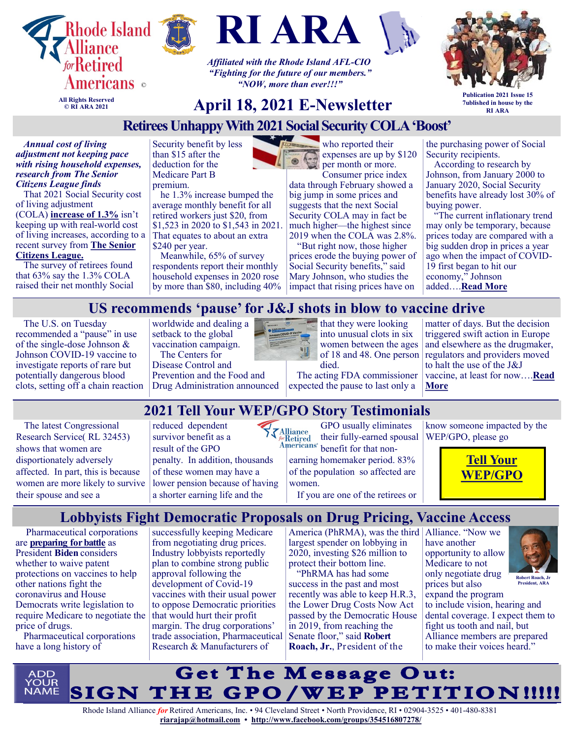





*Affiliated with the Rhode Island AFL-CIO "Fighting for the future of our members." "NOW, more than ever!!!"*



**All Rights Reserved © RI ARA 2021**

# **April 18, 2021 E-Newsletter**

**Publication 2021 Issue 15 7ublished in house by the RI ARA**

# **Retirees Unhappy With 2021 Social Security COLA 'Boost'**

*Annual cost of living adjustment not keeping pace with rising household expenses, research from The Senior Citizens League finds*

That 2021 Social Security cost of living adjustment (COLA) **[increase of 1.3%](https://401kspecialistmag.com/2021-social-security-cola-officially-1-3/)** isn't keeping up with real-world cost of living increases, according to a recent survey from **[The Senior](https://seniorsleague.org/63-percent-of-retirees-say-social-security-cola-in-2021-increased-benefit-by-less-than-15/)  [Citizens League.](https://seniorsleague.org/63-percent-of-retirees-say-social-security-cola-in-2021-increased-benefit-by-less-than-15/)**

The survey of retirees found that 63% say the 1.3% COLA raised their net monthly Social

Security benefit by less than \$15 after the deduction for the Medicare Part B premium.

he 1.3% increase bumped the average monthly benefit for all retired workers just \$20, from \$1,523 in 2020 to \$1,543 in 2021. That equates to about an extra \$240 per year.

Meanwhile, 65% of survey respondents report their monthly household expenses in 2020 rose by more than \$80, including 40%

who reported their expenses are up by \$120 per month or more.

Consumer price index data through February showed a big jump in some prices and suggests that the next Social Security COLA may in fact be much higher—the highest since 2019 when the COLA was 2.8%.

"But right now, those higher prices erode the buying power of Social Security benefits," said Mary Johnson, who studies the impact that rising prices have on

the purchasing power of Social Security recipients.

According to research by Johnson, from January 2000 to January 2020, Social Security benefits have already lost 30% of buying power.

"The current inflationary trend may only be temporary, because prices today are compared with a big sudden drop in prices a year ago when the impact of COVID-19 first began to hit our economy," Johnson added….**[Read More](https://401kspecialistmag.com/retirees-say-2021-social-security-cola-boosts-benefits-less-than-15/)**

#### **US recommends 'pause' for J&J shots in blow to vaccine drive**

The U.S. on Tuesday recommended a "pause" in use of the single-dose Johnson & Johnson COVID-19 vaccine to investigate reports of rare but potentially dangerous blood clots, setting off a chain reaction worldwide and dealing a setback to the global vaccination campaign. The Centers for

Disease Control and Prevention and the Food and Drug Administration announced



that they were looking into unusual clots in six women between the ages of 18 and 48. One person died.

The acting FDA commissioner expected the pause to last only a

matter of days. But the decision triggered swift action in Europe and elsewhere as the drugmaker, regulators and providers moved to halt the use of the J&J vaccine, at least for now….**[Read](https://apnews.com/article/us-pause-j-and-j-vaccine-blood-clot-reports-2dde2aacf486bab59844ef907a28cbce)  [More](https://apnews.com/article/us-pause-j-and-j-vaccine-blood-clot-reports-2dde2aacf486bab59844ef907a28cbce)**

# **2021 Tell Your WEP/GPO Story Testimonials**

The latest Congressional Research Service( RL 32453) shows that women are disportionately adversely affected. In part, this is because women are more likely to survive their spouse and see a

reduced dependent survivor benefit as a result of the GPO penalty. In addition, thousands of these women may have a lower pension because of having a shorter earning life and the

GPO usually eliminates their fully-earned spousal  $\sum_{\substack{\text{forRetired} \\ \text{Americans}^*}}$  their fully-earned space.

earning homemaker period. 83% women.

know someone impacted by the WEP/GPO, please go



of the population so affected are

If you are one of the retirees or

#### **Lobbyists Fight Democratic Proposals on Drug Pricing, Vaccine Access**

Pharmaceutical corporations are **[preparing for battle](https://u1584542.ct.sendgrid.net/ss/c/atcYNHk4Eh2YdGnwBh-YDPbtBFGTH-N_EM6A6dSBhOBH52TkLAFQIUHM04q-nS2YOm4WKXRjkTPgS3jFFLcrvqN8Op_jX1LnnWIfYShuDBrBuOiulbGmLaFWEgmNL1O2uVrPNF9sRpOve2y7CFe1OArhDEBuXf6h_z1aTZJ4Rg2x_br9o5Vaa5ZnKq_bBH8kkrWecySMYPDhH_M1xMN--uIPBXX3L)** as President **Biden** considers whether to waive patent protections on vaccines to help other nations fight the coronavirus and House Democrats write legislation to require Medicare to negotiate the price of drugs.

Pharmaceutical corporations have a long history of

successfully keeping Medicare from negotiating drug prices. Industry lobbyists reportedly plan to combine strong public approval following the development of Covid-19 vaccines with their usual power to oppose Democratic priorities that would hurt their profit margin. The drug corporations' trade association, Pharmaceutical Research & Manufacturers of

America (PhRMA), was the third Alliance. "Now we largest spender on lobbying in 2020, investing \$26 million to protect their bottom line.

"PhRMA has had some success in the past and most recently was able to keep H.R.3, the Lower Drug Costs Now Act passed by the Democratic House in 2019, from reaching the Senate floor," said **Robert Roach, Jr.**, President of the

have another opportunity to allow Medicare to not only negotiate drug prices but also



expand the program to include vision, hearing and dental coverage. I expect them to fight us tooth and nail, but Alliance members are prepared to make their voices heard."

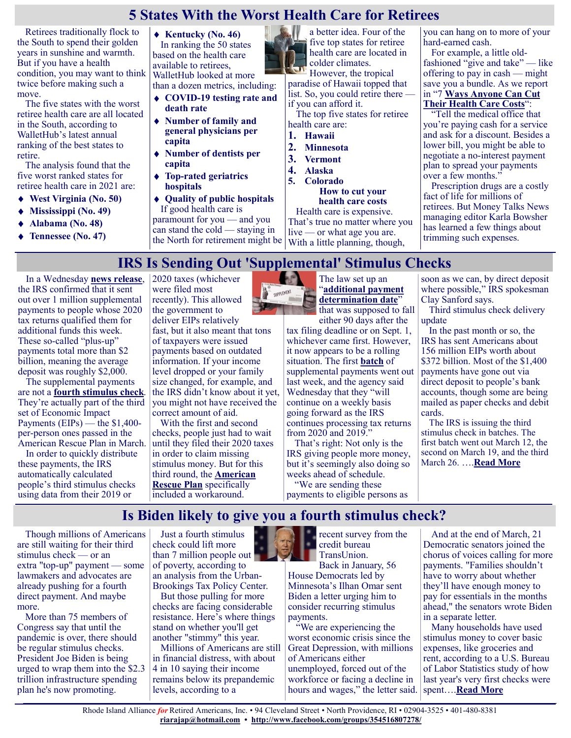#### **5 States With the Worst Health Care for Retirees**

Retirees traditionally flock to the South to spend their golden years in sunshine and warmth. But if you have a health condition, you may want to think twice before making such a move.

The five states with the worst retiree health care are all located in the South, according to WalletHub's [latest annual](https://wallethub.com/edu/best-and-worst-states-to-retire/18592/)  [ranking](https://wallethub.com/edu/best-and-worst-states-to-retire/18592/) of the best states to retire.

The analysis found that the five worst ranked states for retiree health care in 2021 are:

- **West Virginia (No. 50)**
- **Mississippi (No. 49)**
- **Alabama (No. 48)**
- **Tennessee (No. 47)**

◆ Kentucky (No. 46) In ranking the 50 states based on the health care available to retirees, WalletHub looked at more than a dozen metrics, including:

- **COVID-19 testing rate and death rate**
- **Number of family and general physicians per capita**
- **Number of dentists per capita**
- **Top-rated geriatrics hospitals**

2020 taxes (whichever

**Quality of public hospitals** If good health care is paramount for you — and you can stand the cold — staying in the North for retirement might be



paradise of Hawaii topped that list. So, you could retire there if you can afford it.

The top five states for retiree health care are:

- **1. Hawaii**
- **2. Minnesota**
- **3. Vermont**
- **4. Alaska**
- **5. Colorado**

**How to cut your health care costs**

Health care is expensive. That's true no matter where you live — or what age you are. With a little planning, though,

you can hang on to more of your hard-earned cash.

For example, a little oldfashioned "give and take" — like offering to pay in cash — might save you a bundle. As we report in "7 **[Ways Anyone Can Cut](https://www.moneytalksnews.com/how-to-save-on-out-of-pocket-health-care-costs/)  [Their Health Care Costs](https://www.moneytalksnews.com/how-to-save-on-out-of-pocket-health-care-costs/)**":

"Tell the medical office that you're paying cash for a service and ask for a discount. Besides a lower bill, you might be able to negotiate a no-interest payment plan to spread your payments over a few months."

Prescription drugs are a costly fact of life for millions of retirees. But Money Talks News managing editor Karla Bowsher has learned a few things about trimming such expenses.

### **IRS Is Sending Out 'Supplemental' Stimulus Checks**

In a Wednesday **[news release](https://www.irs.gov/newsroom/irs-treasury-disburse-25-million-more-economic-impact-payments-under-the-american-rescue-plan)**, the IRS confirmed that it sent out over 1 million supplemental payments to people whose 2020 tax returns qualified them for additional funds this week. These so-called "plus-up" payments total more than \$2 billion, meaning the average deposit was roughly \$2,000.

The supplemental payments are not a **[fourth stimulus check](https://money.com/fourth-stimulus-check-predictions/)**. They're actually part of the third set of Economic Impact Payments (EIPs) — the \$1,400 per-person ones passed in the American Rescue Plan in March.

In order to quickly distribute these payments, the IRS automatically calculated people's third stimulus checks using data from their 2019 or

were filed most recently). This allowed the government to deliver EIPs relatively fast, but it also meant that tons of taxpayers were issued payments based on outdated information. If your income level dropped or your family size changed, for example, and the IRS didn't know about it yet, you might not have received the correct amount of aid.

With the first and second checks, people just had to wait until they filed their 2020 taxes in order to claim missing stimulus money. But for this third round, the **[American](https://money.com/stimulus-package-2021-checks-unemployment/)  [Rescue Plan](https://money.com/stimulus-package-2021-checks-unemployment/)** specifically included a workaround.



The law set up an "**[additional payment](https://money.com/third-stimulus-check-additional-payment-date/)  [determination date](https://money.com/third-stimulus-check-additional-payment-date/)**" that was supposed to fall

either 90 days after the tax filing deadline or on Sept. 1, whichever came first. However, it now appears to be a rolling situation. The first **[batch](https://www.irs.gov/newsroom/irs-treasury-disburse-more-economic-impact-payments-under-the-american-rescue-plan-total-tops-130-million-with-more-to-come)** of supplemental payments went out last week, and the agency said Wednesday that they "will continue on a weekly basis going forward as the IRS continues processing tax returns from 2020 and 2019."

That's right: Not only is the IRS giving people more money, but it's seemingly also doing so weeks ahead of schedule.

"We are sending these payments to eligible persons as soon as we can, by direct deposit where possible," IRS spokesman Clay Sanford says.

Third stimulus check delivery update

In the past month or so, the IRS has sent Americans about 156 million EIPs worth about \$372 billion. Most of the \$1,400 payments have gone out via direct deposit to people's bank accounts, though some are being mailed as paper checks and debit cards.

The IRS is issuing the third stimulus check in batches. The first batch went out March 12, the second on March 19, and the third March 26. ….**[Read More](https://www.msn.com/en-us/money/personalfinance/irs-is-sending-out-supplemental-stimulus-checks/ar-BB1frw94?ocid=SK2DDHP)**

#### **Is Biden likely to give you a fourth stimulus check?**

Though millions of Americans are still waiting for their third stimulus check — or an extra "top-[up" payment](https://moneywise.com/a/millions-who-paid-tax-on-unemployment-benefits-in-2020-will-soon-start-getting-refunds?utm_source=syn_msna_mon&utm_medium=A&utm_campaign=16418&utm_content=16418_%26quot%3Btop-up%26quot%3B+payment) — some lawmakers and advocates are already pushing for a fourth direct payment. And maybe more.

More than 75 members of Congress say that until the pandemic is over, there should be regular stimulus checks. President Joe Biden is being urged to wrap them into the \$2.3 trillion infrastructure spending plan he's now promoting.

Just a fourth stimulus check could lift more than 7 million people out of poverty, according to an analysis from the Urban-Brookings Tax Policy Center.

But those pulling for more checks are facing considerable resistance. Here's where things stand on whether you'll get another "stimmy" this year.

Millions of Americans are still in financial distress, with about 4 in 10 saying their income remains below its prepandemic levels, according to a



recent [survey](https://content.transunion.com/v/consumer-pulse-us-q1-2021) from the credit bureau TransUnion. Back in January, 56

House Democrats led by Minnesota's Ilhan Omar sent Biden a letter urging him to consider recurring stimulus payments.

"We are experiencing the worst economic crisis since the Great Depression, with millions of Americans either unemployed, forced out of the workforce or facing a decline in hours and wages," the letter said.

And at the end of March, 21 Democratic senators joined the chorus of voices calling for more payments. "Families shouldn't have to worry about whether they'll have enough money to pay for essentials in the months ahead," the senators wrote Biden in a separate letter.

Many households have used stimulus money to cover basic expenses, like groceries and rent, according to a U.S. Bureau of Labor Statistics study of how last year's very first checks were spent….**[Read More](https://www.msn.com/en-us/money/savingandinvesting/is-biden-likely-to-give-you-a-fourth-stimulus-check/ar-BB1fvxiz?ocid=SK2DDHP)**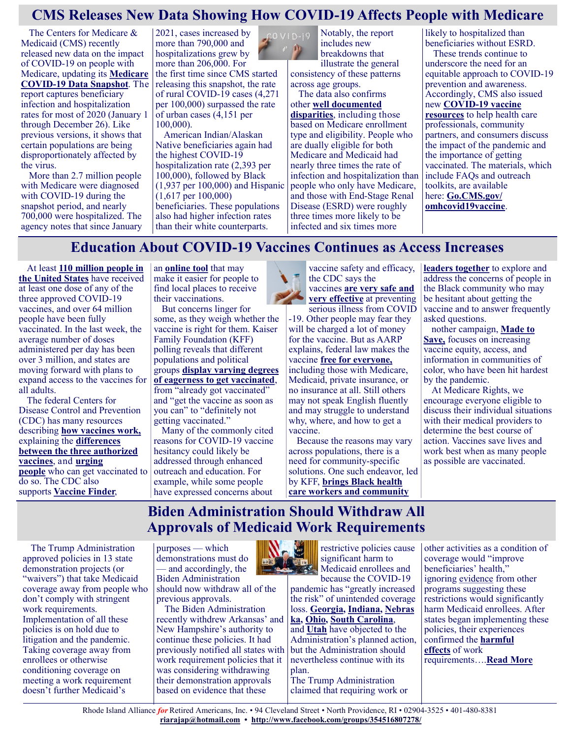#### **CMS Releases New Data Showing How COVID-19 Affects People with Medicare**

The Centers for Medicare & Medicaid (CMS) recently released new data on the impact of COVID-19 on people with Medicare, updating its **[Medicare](https://www.cms.gov/files/document/medicare-covid-19-data-snapshot-fact-sheet.pdf)  COVID-[19 Data Snapshot](https://www.cms.gov/files/document/medicare-covid-19-data-snapshot-fact-sheet.pdf)**. The report captures beneficiary infection and hospitalization rates for most of 2020 (January 1 through December 26). Like previous versions, it shows that certain populations are being disproportionately affected by the virus.

More than 2.7 million people with Medicare were diagnosed with COVID-19 during the snapshot period, and nearly 700,000 were hospitalized. The agency [notes](https://www.cms.gov/newsroom/press-releases/cms-updates-medicare-covid-19-data-snapshot) that since January

2021, cases increased by more than 790,000 and hospitalizations grew by more than 206,000. For the first time since CMS started releasing this snapshot, the rate of rural COVID-19 cases (4,271 per 100,000) surpassed the rate of urban cases (4,151 per 100,000).

American Indian/Alaskan Native beneficiaries again had the highest COVID-19 hospitalization rate (2,393 per 100,000), followed by Black (1,937 per 100,000) and Hispanic (1,617 per 100,000) beneficiaries. These populations also had higher infection rates than their white counterparts.



Notably, the report includes new breakdowns that illustrate the general consistency of these patterns

across age groups. The data also confirms other **[well documented](https://www.medicarerights.org/medicare-watch/2020/07/30/new-data-show-persistent-disparities-in-covid-19-cases)  [disparities](https://www.medicarerights.org/medicare-watch/2020/07/30/new-data-show-persistent-disparities-in-covid-19-cases)**, including those based on Medicare enrollment type and eligibility. People who are dually eligible for both Medicare and Medicaid had nearly three times the rate of infection and hospitalization than people who only have Medicare, and those with End-Stage Renal Disease (ESRD) were roughly

three times more likely to be infected and six times more

likely to hospitalized than beneficiaries without ESRD.

These trends continue to underscore the need for an equitable approach to COVID-19 prevention and awareness. Accordingly, CMS also issued new **COVID-[19 vaccine](https://www.cms.gov/About-CMS/Agency-Information/OMH/resource-center/COVID-19-Vaccine-Resources)  [resources](https://www.cms.gov/About-CMS/Agency-Information/OMH/resource-center/COVID-19-Vaccine-Resources)** to help health care professionals, community partners, and consumers discuss the impact of the pandemic and the importance of getting vaccinated. The materials, which include FAQs and outreach toolkits, are available here: **[Go.CMS.gov/](https://www.cms.gov/About-CMS/Agency-Information/OMH/resource-center/COVID-19-Vaccine-Resources) [omhcovid19vaccine](https://www.cms.gov/About-CMS/Agency-Information/OMH/resource-center/COVID-19-Vaccine-Resources)**.

#### **Education About COVID-19 Vaccines Continues as Access Increases**

At least **[110 million people in](https://www.washingtonpost.com/graphics/2020/health/covid-vaccine-states-distribution-doses/)  [the United States](https://www.washingtonpost.com/graphics/2020/health/covid-vaccine-states-distribution-doses/)** have received at least one dose of any of the three approved COVID-19 vaccines, and over 64 million people have been fully vaccinated. In the last week, the average number of doses administered per day has been over 3 million, and states are moving forward with plans to expand access to the vaccines for all adults.

The federal Centers for Disease Control and Prevention (CDC) has many resources describing **[how vaccines work,](https://www.cdc.gov/coronavirus/2019-ncov/vaccines/different-vaccines/how-they-work.html)**  explaining the **[differences](https://www.cdc.gov/coronavirus/2019-ncov/vaccines/different-vaccines.html)  [between the three authorized](https://www.cdc.gov/coronavirus/2019-ncov/vaccines/different-vaccines.html)  [vaccines](https://www.cdc.gov/coronavirus/2019-ncov/vaccines/different-vaccines.html)**, and **[urging](https://www.cdc.gov/coronavirus/2019-ncov/vaccines/vaccine-benefits.html)  [people](https://www.cdc.gov/coronavirus/2019-ncov/vaccines/vaccine-benefits.html)** who can get vaccinated to do so. The CDC also supports **[Vaccine Finder](https://vaccinefinder.org/search/)**,

an **[online tool](https://www.cdc.gov/vaccines/covid-19/reporting/vaccinefinder/vaccinefinder-factsheet.html)** that may make it easier for people to find local places to receive their vaccinations.

But concerns linger for some, as they weigh whether the vaccine is right for them. Kaiser Family Foundation (KFF) polling reveals that different populations and political groups **[display varying degrees](https://www.kff.org/coronavirus-covid-19/dashboard/kff-covid-19-vaccine-monitor-dashboard/)  [of eagerness to get vaccinated](https://www.kff.org/coronavirus-covid-19/dashboard/kff-covid-19-vaccine-monitor-dashboard/)**, from "already got vaccinated" and "get the vaccine as soon as you can" to "definitely not getting vaccinated." Many of the commonly cited

reasons for COVID-19 vaccine hesitancy could likely be addressed through enhanced outreach and education. For example, while some people have expressed concerns about



vaccine safety and efficacy, the CDC says the vaccines **[are very safe and](https://www.cdc.gov/coronavirus/2019-ncov/vaccines/safety/safety-of-vaccines.html)  [very effective](https://www.cdc.gov/coronavirus/2019-ncov/vaccines/safety/safety-of-vaccines.html)** at preventing

serious illness from COVID -19. Other people may fear they will be charged a lot of money for the vaccine. But as AARP explains, federal law makes the vaccine **[free for everyone,](https://www.aarp.org/health/medicare-insurance/info-2020/cms-rule-makes-covid-19-vaccines-free.html)**  including those with Medicare, Medicaid, private insurance, or no insurance at all. Still others may not speak English fluently and may struggle to understand why, where, and how to get a vaccine.

Because the reasons may vary across populations, there is a need for community-specific solutions. One such endeavor, led by KFF, **[brings Black health](https://www.greaterthancovid.org/)  [care workers and community](https://www.greaterthancovid.org/)** 

**[leaders together](https://www.greaterthancovid.org/)** to explore and address the concerns of people in the Black community who may be hesitant about getting the vaccine and to answer frequently asked questions.

nother campaign, **[Made to](https://madetosave.org/)  [Save,](https://madetosave.org/)** focuses on increasing vaccine equity, access, and information in communities of color, who have been hit hardest by the pandemic.

At Medicare Rights, we encourage everyone eligible to discuss their individual situations with their medical providers to determine the best course of action. Vaccines save lives and work best when as many people as possible are vaccinated.

#### **Biden Administration Should Withdraw All Approvals of Medicaid Work Requirements**

The Trump Administration approved policies in 13 state demonstration projects (or "waivers") that take Medicaid coverage away from people who don't comply with stringent work requirements. Implementation of all these policies is on hold due to litigation and the pandemic. Taking coverage away from enrollees or otherwise conditioning coverage on meeting a work requirement doesn't further Medicaid's

purposes — which demonstrations must do — and accordingly, the Biden Administration

should now withdraw all of the previous approvals.

The Biden Administration recently withdrew Arkansas' and New Hampshire's authority to continue these policies. It had previously notified all states with work requirement policies that it was considering withdrawing their demonstration approvals based on evidence that these



restrictive policies cause significant harm to Medicaid enrollees and

because the COVID-19 pandemic has "greatly increased the risk" of unintended coverage loss. **[Georgia,](https://www.medicaid.gov/medicaid/section-1115-demonstrations/downloads/ga-cms-ltr-from-state-03122021.pdf) [Indiana,](https://www.medicaid.gov/medicaid/section-1115-demonstrations/downloads/in-cms-ltr-from-state-03102021.pdf) [Nebras](https://urldefense.com/v3/__https:/www.medicaid.gov/medicaid/section-1115-demonstrations/downloads/nb-cms-ltr-from-state-02242021.pdf__;!!OXx53w!mKxjXSGsSk1r7eVWPMe264VZrmvv54KuEpl8jkedAwB6uWZN_ydQLNisrl-70A$) [ka,](https://urldefense.com/v3/__https:/www.medicaid.gov/medicaid/section-1115-demonstrations/downloads/nb-cms-ltr-from-state-02242021.pdf__;!!OXx53w!mKxjXSGsSk1r7eVWPMe264VZrmvv54KuEpl8jkedAwB6uWZN_ydQLNisrl-70A$) [Ohio,](https://urldefense.com/v3/__https:/www.medicaid.gov/medicaid/section-1115-demonstrations/downloads/oh-cms-ltr-from-state-03112021.pdf__;!!OXx53w!mKxjXSGsSk1r7eVWPMe264VZrmvv54KuEpl8jkedAwB6uWZN_ydQLNgt04v7Wg$) [South Carolina](https://urldefense.com/v3/__https:/www.medicaid.gov/medicaid/section-1115-demonstrations/downloads/sc-cms-ltr-from-state-03112021.pdf__;!!OXx53w!mKxjXSGsSk1r7eVWPMe264VZrmvv54KuEpl8jkedAwB6uWZN_ydQLNgIkkvikA$)**, and **[Utah](https://urldefense.com/v3/__https:/www.medicaid.gov/medicaid/section-1115-demonstrations/downloads/ut-cms-ltr-from-state-03122021.pdf__;!!OXx53w!mKxjXSGsSk1r7eVWPMe264VZrmvv54KuEpl8jkedAwB6uWZN_ydQLNiMUGrgDg$)** have objected to the Administration's planned action, but the Administration should nevertheless continue with its plan.

The Trump Administration claimed that requiring work or other activities as a condition of coverage would "improve beneficiaries' health," ignoring [evidence](https://www.cbpp.org/research/poverty-and-inequality/work-requirements-dont-cut-poverty-evidence-shows) from other programs suggesting these restrictions would significantly harm Medicaid enrollees. After states began implementing these policies, their experiences confirmed the **[harmful](https://www.cbpp.org/research/health/states-experiences-confirm-harmful-effects-of-medicaid-work-requirements)  [effects](https://www.cbpp.org/research/health/states-experiences-confirm-harmful-effects-of-medicaid-work-requirements)** of work requirements….**[Read More](https://www.cbpp.org/blog/biden-administration-should-withdraw-all-approvals-of-medicaid-work-requirements)**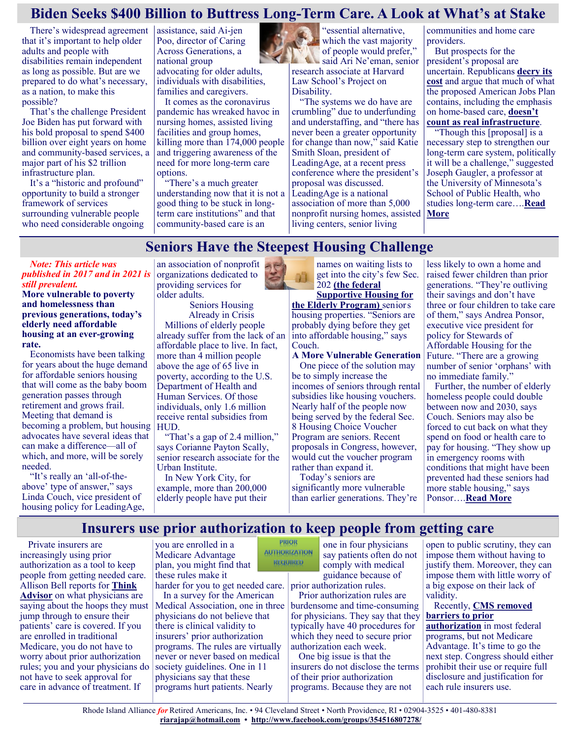#### **Biden Seeks \$400 Billion to Buttress Long-Term Care. A Look at What's at Stake**

There's widespread agreement assistance, said Ai-jen that it's important to help older adults and people with disabilities remain independent as long as possible. But are we prepared to do what's necessary, as a nation, to make this possible?

That's the challenge President Joe Biden has put forward with his bold proposal to spend \$400 billion over eight years on home and community-based services, a major part of his \$2 trillion infrastructure plan.

It's a "historic and profound" opportunity to build a stronger framework of services surrounding vulnerable people who need considerable ongoing Poo, director of Caring Across Generations, a national group advocating for older adults, individuals with disabilities, families and caregivers.

It comes as the coronavirus pandemic has wreaked havoc in nursing homes, assisted living facilities and group homes, killing more than 174,000 people and triggering awareness of the need for more long-term care options.

"There's a much greater understanding now that it is not a good thing to be stuck in longterm care institutions" and that community-based care is an

"essential alternative, which the vast majority of people would prefer," d. said Ari Ne'eman, senior

research associate at Harvard Law School's Project on Disability.

"The systems we do have are crumbling" due to underfunding and understaffing, and "there has never been a greater opportunity for change than now," said Katie Smith Sloan, president of LeadingAge, at a recent press conference where the president's proposal was discussed. LeadingAge is a national association of more than 5,000 nonprofit nursing homes, assisted living centers, senior living

communities and home care providers.

But prospects for the president's proposal are uncertain. Republicans **[decry its](https://www.washingtonpost.com/politics/gop-attacks-biden-infrastructure-debt/2021/04/04/321ad05a-93b7-11eb-a74e-1f4cf89fd948_story.html)  [cost](https://www.washingtonpost.com/politics/gop-attacks-biden-infrastructure-debt/2021/04/04/321ad05a-93b7-11eb-a74e-1f4cf89fd948_story.html)** and argue that much of what the proposed American Jobs Plan contains, including the emphasis on home-based care, **[doesn't](https://www.washingtonpost.com/politics/2021/04/05/gop-claim-that-only-5-7-percent-bidens-plan-is-real-infrastructure/)  [count as real infrastructure](https://www.washingtonpost.com/politics/2021/04/05/gop-claim-that-only-5-7-percent-bidens-plan-is-real-infrastructure/)**.

"Though this [proposal] is a necessary step to strengthen our long-term care system, politically it will be a challenge," suggested Joseph Gaugler, a professor at the University of Minnesota's School of Public Health, who studies long-term care….**[Read](https://khn.org/news/article/biden-seeks-400-billion-to-buttress-long-term-care-a-look-at-whats-at-stake/)  [More](https://khn.org/news/article/biden-seeks-400-billion-to-buttress-long-term-care-a-look-at-whats-at-stake/)**

## **Seniors Have the Steepest Housing Challenge**

*Note: This article was published in 2017 and in 2021 is still prevalent.*

**More vulnerable to poverty and homelessness than previous generations, today's elderly need affordable housing at an ever-growing rate.**

Economists have been talking for years about the huge demand for affordable seniors housing that will come as the baby boom generation passes through retirement and grows frail. Meeting that demand is becoming a problem, but housing advocates have several ideas that can make a difference—all of which, and more, will be sorely needed.

"It's really an 'all-of-theabove' type of answer," says Linda Couch, vice president of housing policy for LeadingAge, an association of nonprofit organizations dedicated to providing services for older adults.

Seniors Housing Already in Crisis Millions of elderly people already suffer from the lack of an affordable place to live. In fact, more than 4 million people above the age of 65 live in poverty, according to the U.S. Department of Health and Human Services. Of those individuals, only 1.6 million receive rental subsidies from HUD.

"That's a gap of 2.4 million," says Corianne Payton Scally, senior research associate for the Urban Institute.

In New York City, for example, more than 200,000 elderly people have put their names on waiting lists to get into the city's few Sec. 202 **(the [federal](https://portal.hud.gov/hudportal/HUD?src=/program_offices/housing/mfh/progdesc/eld202)** 

**[Supportive Housing for](https://portal.hud.gov/hudportal/HUD?src=/program_offices/housing/mfh/progdesc/eld202)  [the Elderly Program\)](https://portal.hud.gov/hudportal/HUD?src=/program_offices/housing/mfh/progdesc/eld202)** seniors housing properties. "Seniors are probably dying before they get into affordable housing," says Couch.

**A More Vulnerable Generation** One piece of the solution may be to simply increase the incomes of seniors through rental subsidies like housing vouchers. Nearly half of the people now being served by the federal Sec. 8 Housing Choice Voucher Program are seniors. Recent proposals in Congress, however, would cut the voucher program rather than expand it.

Today's seniors are significantly more vulnerable than earlier generations. They're less likely to own a home and raised fewer children than prior generations. "They're outliving their savings and don't have three or four children to take care of them," says Andrea Ponsor, executive vice president for policy for Stewards of Affordable Housing for the Future. "There are a growing number of senior 'orphans' with no immediate family."

Further, the number of elderly homeless people could double between now and 2030, says Couch. Seniors may also be forced to cut back on what they spend on food or health care to pay for housing. "They show up in emergency rooms with conditions that might have been prevented had these seniors had more stable housing," says Ponsor….**[Read More](https://www.multifamilyexecutive.com/design-development/seniors-have-the-steepest-housing-challenge_o#:~:text=Millions%20of%20elderly%20people%20already,receive%20rental%20subsidies%20from%20HUD)**

#### **Insurers use prior authorization to keep people from getting care**

Private insurers are increasingly using prior authorization as a tool to keep people from getting needed care. Allison Bell reports for **[Think](https://www.thinkadvisor.com/2021/04/08/physicians-say-prior-authorization-fights-are-back/)  [Advisor](https://www.thinkadvisor.com/2021/04/08/physicians-say-prior-authorization-fights-are-back/)** on what physicians are saying about the hoops they must jump through to ensure their patients' care is covered. If you are enrolled in traditional Medicare, you do not have to worry about prior authorization rules; you and your physicians do not have to seek approval for care in advance of treatment. If

you are enrolled in a Medicare Advantage plan, you might find that these rules make it

harder for you to get needed care. In a survey for the American

Medical Association, one in three physicians do not believe that there is clinical validity to insurers' prior authorization programs. The rules are virtually never or never based on medical society guidelines. One in 11 physicians say that these programs hurt patients. Nearly

**PRIOR** one in four physicians **AUTHORIZATION REQUIRED** 

say patients often do not comply with medical guidance because of

prior authorization rules. Prior authorization rules are

burdensome and time-consuming for physicians. They say that they typically have 40 procedures for which they need to secure prior authorization each week.

One big issue is that the insurers do not disclose the terms of their prior authorization programs. Because they are not

open to public scrutiny, they can impose them without having to justify them. Moreover, they can impose them with little worry of a big expose on their lack of validity.

Recently, **[CMS removed](https://justcareusa.org/cms-rule-would-make-prior-authorization-easier-for-people-in-most-federal-programs-except-medicare-advantage/)  [barriers to prior](https://justcareusa.org/cms-rule-would-make-prior-authorization-easier-for-people-in-most-federal-programs-except-medicare-advantage/)** 

**[authorization](https://justcareusa.org/cms-rule-would-make-prior-authorization-easier-for-people-in-most-federal-programs-except-medicare-advantage/)** in most federal programs, but not Medicare Advantage. It's time to go the next step. Congress should either prohibit their use or require full disclosure and justification for each rule insurers use.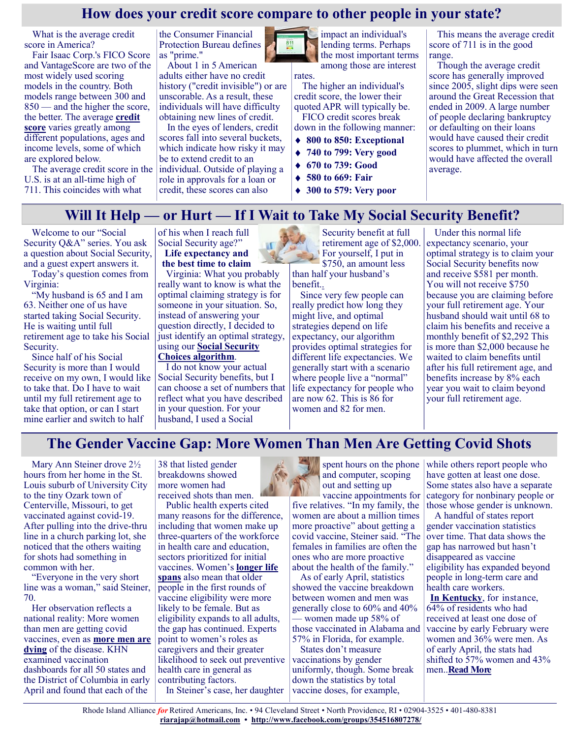#### **How does your credit score compare to other people in your state?**

What is the average credit score in America?

Fair Isaac Corp.'s FICO Score and VantageScore are two of the most widely used scoring models in the country. Both models range between 300 and 850 — and the higher the score, the better. The average **[credit](https://www.valuepenguin.com/credit-scores)  [score](https://www.valuepenguin.com/credit-scores)** varies greatly among different populations, ages and income levels, some of which are explored below.

The average credit score in the U.S. is at an all-time high of 711. This coincides with what

the Consumer Financial Protection Bureau defines as "prime."

About 1 in 5 American adults either have no credit history ("credit invisible") or are unscorable. As a result, these individuals will have difficulty obtaining new lines of credit.

In the eyes of lenders, credit scores fall into several buckets, which indicate how risky it may be to extend credit to an individual. Outside of playing a role in approvals for a loan or credit, these scores can also



impact an individual's lending terms. Perhaps the most important terms among those are interest

rates.

The higher an individual's credit score, the lower their quoted APR will typically be.

FICO credit scores break down in the following manner:

- **800 to 850: Exceptional**
- **740 to 799: Very good**
- **670 to 739: Good**
- **580 to 669: Fair**
- **300 to 579: Very poor**

This means the average credit score of 711 is in the good range.

Though the average credit score has generally improved since 2005, slight dips were seen around the Great Recession that ended in 2009. A large number of people declaring bankruptcy or defaulting on their loans would have caused their credit scores to plummet, which in turn would have affected the overall average.

#### **Will It Help — or Hurt — If I Wait to Take My Social Security Benefit?**

Welcome to our "Social Security O&A" series. You ask a question about Social Security, and a guest expert answers it.

Today's question comes from Virginia:

"My husband is 65 and I am 63. Neither one of us have started taking Social Security. He is waiting until full retirement age to take his Social Security.

Since half of his Social Security is more than I would receive on my own, I would like to take that. Do I have to wait until my full retirement age to take that option, or can I start mine earlier and switch to half

of his when I reach full Social Security age?" **Life expectancy and the best time to claim**

Virginia: What you probably really want to know is what the optimal claiming strategy is for someone in your situation. So, instead of answering your question directly, I decided to just identify an optimal strategy, using our **[Social Security](https://www.moneytalksnews.com/solutions/social-security/)  [Choices algorithm](https://www.moneytalksnews.com/solutions/social-security/)**.

I do not know your actual Social Security benefits, but I can choose a set of numbers that reflect what you have described in your question. For your husband, I used a Social

Security benefit at full retirement age of \$2,000. For yourself, I put in \$750, an amount less than half your husband's benefit[..](https://www.moneytalksnews.com/?utm_source=msn&utm_medium=feed&utm_campaign=msn-newsletter-signup#newsletter)

Since very few people can really predict how long they might live, and optimal strategies depend on life expectancy, our algorithm provides optimal strategies for different life expectancies. We generally start with a scenario where people live a "normal" life expectancy for people who are now 62. This is 86 for women and 82 for men.

Under this normal life expectancy scenario, your optimal strategy is to claim your Social Security benefits now and receive \$581 per month. You will not receive \$750 because you are claiming before your full retirement age. Your husband should wait until 68 to claim his benefits and receive a monthly benefit of \$2,292 This is more than \$2,000 because he waited to claim benefits until after his full retirement age, and benefits increase by 8% each year you wait to claim beyond your full retirement age.

#### **The Gender Vaccine Gap: More Women Than Men Are Getting Covid Shots**

Mary Ann Steiner drove 2½ hours from her home in the St. Louis suburb of University City to the tiny Ozark town of Centerville, Missouri, to get vaccinated against covid-19. After pulling into the drive-thru line in a church parking lot, she noticed that the others waiting for shots had something in common with her.

"Everyone in the very short line was a woman," said Steiner, 70.

Her observation reflects a national reality: More women than men are getting covid vaccines, even as **[more men are](https://www.cdc.gov/nchs/nvss/vsrr/covid_weekly/index.htm#SexAndAge)  [dying](https://www.cdc.gov/nchs/nvss/vsrr/covid_weekly/index.htm#SexAndAge)** of the disease. KHN examined vaccination dashboards for all 50 states and the District of Columbia in early April and found that each of the

38 that listed gender breakdowns showed more women had received shots than men.

Public health experts cited many reasons for the difference, including that women make up three-quarters of the workforce in health care and education, sectors prioritized for initial vaccines. Women's **[longer life](https://www.cdc.gov/nchs/products/databriefs/db355.htm)  [spans](https://www.cdc.gov/nchs/products/databriefs/db355.htm)** also mean that older people in the first rounds of vaccine eligibility were more likely to be female. But as eligibility expands to all adults, the gap has continued. Experts point to women's roles as caregivers and their greater likelihood to seek out preventive health care in general as contributing factors. In Steiner's case, her daughter



spent hours on the phone and computer, scoping out and setting up

vaccine appointments for five relatives. "In my family, the women are about a million times more proactive" about getting a covid vaccine, Steiner said. "The females in families are often the ones who are more proactive about the health of the family."

As of early April, statistics showed the vaccine breakdown between women and men was generally close to 60% and 40% — women made up 58% of those vaccinated in Alabama and 57% in Florida, for example.

States don't measure vaccinations by gender uniformly, though. Some break down the statistics by total vaccine doses, for example,

while others report people who have gotten at least one dose. Some states also have a separate category for nonbinary people or those whose gender is unknown.

A handful of states report gender vaccination statistics over time. That data shows the gap has narrowed but hasn't disappeared as vaccine eligibility has expanded beyond people in long-term care and health care workers.

**[In Kentucky](https://govstatus.egov.com/ky-covid-vaccine)**, for instance, 64% of residents who had received at least one dose of vaccine by early February were women and 36% were men. As of early April, the stats had shifted to 57% women and 43% men..**[Read More](https://khn.org/news/article/gender-vaccine-gap-more-women-than-men-vaccinated-against-covid/)**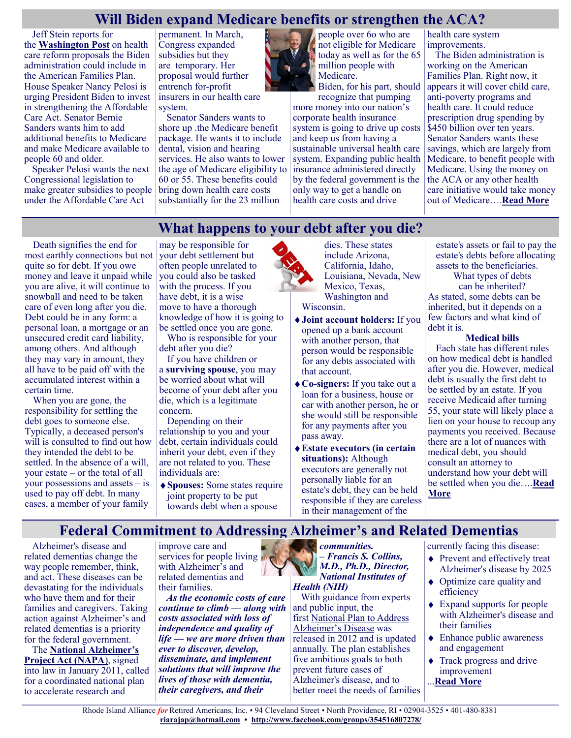#### **Will Biden expand Medicare benefits or strengthen the ACA?**

Jeff Stein reports for the **[Washington Post](https://www.washingtonpost.com/us-policy/2021/04/12/sanders-pelosi-biden-obamacare-medicare/)** on health care reform proposals the Biden administration could include in the American Families Plan. House Speaker Nancy Pelosi is urging President Biden to invest in strengthening the Affordable Care Act. Senator Bernie Sanders wants him to add additional benefits to Medicare and make Medicare available to people 60 and older.

Speaker Pelosi wants the next Congressional legislation to make greater subsidies to people under the Affordable Care Act

permanent. In March, Congress expanded subsidies but they are temporary. Her proposal would further entrench for-profit insurers in our health care system.

Senator Sanders wants to shore up .the Medicare benefit package. He wants it to include dental, vision and hearing services. He also wants to lower the age of Medicare eligibility to 60 or 55. These benefits could bring down health care costs substantially for the 23 million



people over 6o who are not eligible for Medicare today as well as for the 65 million people with Medicare.

Biden, for his part, should recognize that pumping more money into our nation's corporate health insurance system is going to drive up costs and keep us from having a sustainable universal health care system. Expanding public health insurance administered directly by the federal government is the only way to get a handle on health care costs and drive

health care system improvements.

The Biden administration is working on the American Families Plan. Right now, it appears it will cover child care, anti-poverty programs and health care. It could reduce prescription drug spending by \$450 billion over ten years. Senator Sanders wants these savings, which are largely from Medicare, to benefit people with Medicare. Using the money on the ACA or any other health care initiative would take money out of Medicare….**[Read More](https://justcareusa.org/will-biden-expand-medicare-benefits/)**

#### **What happens to your debt after you die?**

Death signifies the end for most earthly connections but not quite so for debt. If you owe money and leave it unpaid while you are alive, it will continue to snowball and need to be taken care of even long after you die. Debt could be in any form: a personal loan, a mortgage or an unsecured credit card liability, among others. And although they may vary in amount, they all have to be paid off with the accumulated interest within a certain time.

When you are gone, the responsibility for settling the debt goes to someone else. Typically, a deceased person's will is consulted to find out how they intended the debt to be settled. In the absence of a will, your [estate](https://www.investopedia.com/terms/e/estate.asp) – or the total of all your possessions and assets – is used to pay off debt. In many cases, a member of your family

may be responsible for your debt settlement but often people unrelated to you could also be tasked with the process. If you have debt, it is a wise move to have a thorough knowledge of how it is going to be settled once you are gone.

Who is responsible for your debt after you die?

If you have children or a **[surviving spouse](https://www.bankrate.com/debt/debt-responsibility-after-spouse-death/)**, you may be worried about what will become of your debt after you die, which is a legitimate concern.

Depending on their relationship to you and your debt, certain individuals could inherit your debt, even if they are not related to you. These individuals are:

**Spouses:** Some states require joint property to be put towards debt when a spouse

dies. These states include Arizona, California, Idaho, Louisiana, Nevada, New Mexico, Texas, Washington and Wisconsin.

- **Joint account holders:** If you opened up a bank account with another person, that person would be responsible for any debts associated with that account.
- **Co-signers:** If you take out a loan for a business, house or car with another person, he or she would still be responsible for any payments after you pass away.
- **Estate executors (in certain situations):** Although executors are generally not personally liable for an estate's debt, they can be held responsible if they are careless in their management of the

estate's assets or fail to pay the estate's debts before allocating assets to the beneficiaries.

What types of debts can be inherited? As stated, some debts can be inherited, but it depends on a few factors and what kind of debt it is.

#### **Medical bills**

Each state has different rules on how medical debt is handled after you die. However, medical debt is usually the first debt to be settled by an estate. If you receive Medicaid after turning 55, your state will likely place a lien on your house to recoup any payments you received. Because there are a lot of nuances with medical debt, you should consult an attorney to understand how your debt will be settled when you die….**[Read](https://www.msn.com/en-us/money/personalfinance/what-happens-to-your-debt-after-you-die/ar-BB1arqwK)  [More](https://www.msn.com/en-us/money/personalfinance/what-happens-to-your-debt-after-you-die/ar-BB1arqwK)**

#### **Federal Commitment to Addressing Alzheimer's and Related Dementias**

Alzheimer's disease and related dementias change the way people remember, think, and act. These diseases can be devastating for the individuals who have them and for their families and caregivers. Taking action against Alzheimer's and related dementias is a priority for the federal government.

The **[National Alzheimer's](https://aspe.hhs.gov/national-alzheimers-project-act)  [Project Act \(NAPA](https://aspe.hhs.gov/national-alzheimers-project-act)**), signed into law in January 2011, called for a coordinated national plan to accelerate research and

improve care and services for people living  $\mu$ with Alzheimer's and related dementias and their families.

*As the economic costs of care continue to climb — along with costs associated with loss of independence and quality of life — we are more driven than ever to discover, develop, disseminate, and implement solutions that will improve the lives of those with dementia, their caregivers, and their* 

*communities. – Francis S. Collins, M.D., Ph.D., Director, National Institutes of Health (NIH)*

With guidance from experts and public input, the first [National Plan to Address](https://aspe.hhs.gov/national-plans-address-alzheimers-disease)  [Alzheimer's Disease](https://aspe.hhs.gov/national-plans-address-alzheimers-disease) was released in 2012 and is updated annually. The plan establishes five ambitious goals to both prevent future cases of Alzheimer's disease, and to better meet the needs of families currently facing this disease:

- ♦ Prevent and effectively treat Alzheimer's disease by 2025
- ◆ Optimize care quality and efficiency
- Expand supports for people with Alzheimer's disease and their families
- ◆ Enhance public awareness and engagement
- **Track progress and drive** improvement
- ...**[Read More](https://www.alzheimers.gov/taking-action/federal-response)**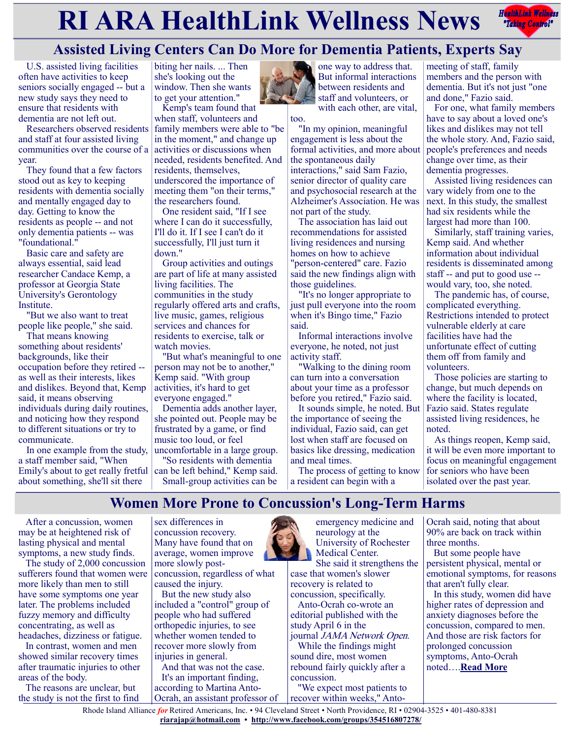# **RIARA HealthLink Wellness News** *Reduction Reduction***ly and** *Reduction***ly and** *Reduction***ly <b>Reduction**



# **Assisted Living Centers Can Do More for Dementia Patients, Experts Say**

U.S. assisted living facilities often have activities to keep seniors socially engaged -- but a new study says they need to ensure that residents with dementia are not left out.

Researchers observed residents and staff at four assisted living communities over the course of a year.

They found that a few factors stood out as key to keeping residents with dementia socially and mentally engaged day to day. Getting to know the residents as people -- and not only dementia patients -- was "foundational."

Basic care and safety are always essential, said lead researcher Candace Kemp, a professor at Georgia State University's Gerontology Institute.

"But we also want to treat people like people," she said.

That means knowing something about residents' backgrounds, like their occupation before they retired - as well as their interests, likes and dislikes. Beyond that, Kemp said, it means observing individuals during daily routines, and noticing how they respond to different situations or try to communicate.

In one example from the study, a staff member said, "When Emily's about to get really fretful about something, she'll sit there

biting her nails. ... Then she's looking out the window. Then she wants to get your attention." Kemp's team found that

when staff, volunteers and family members were able to "be in the moment," and change up activities or discussions when needed, residents benefited. And residents, themselves, underscored the importance of meeting them "on their terms," the researchers found.

One resident said, "If I see where I can do it successfully. I'll do it. If I see I can't do it successfully, I'll just turn it down."

Group activities and outings are part of life at many assisted living facilities. The communities in the study regularly offered arts and crafts, live music, games, religious services and chances for residents to exercise, talk or watch movies.

"But what's meaningful to one person may not be to another," Kemp said. "With group activities, it's hard to get everyone engaged."

Dementia adds another layer, she pointed out. People may be frustrated by a game, or find music too loud, or feel uncomfortable in a large group.

"So residents with dementia can be left behind," Kemp said.

Small-group activities can be



too.

one way to address that. But informal interactions between residents and staff and volunteers, or with each other, are vital,

"In my opinion, meaningful engagement is less about the formal activities, and more about the spontaneous daily interactions," said Sam Fazio, senior director of quality care and psychosocial research at the Alzheimer's Association. He was not part of the study.

The association has laid out recommendations for assisted living residences and nursing homes on how to achieve "person-centered" care. Fazio said the new findings align with those guidelines.

"It's no longer appropriate to just pull everyone into the room when it's Bingo time," Fazio said.

Informal interactions involve everyone, he noted, not just activity staff.

"Walking to the dining room can turn into a conversation about your time as a professor before you retired," Fazio said.

It sounds simple, he noted. But the importance of seeing the individual, Fazio said, can get lost when staff are focused on basics like dressing, medication and meal times.

The process of getting to know a resident can begin with a

meeting of staff, family members and the person with dementia. But it's not just "one and done," Fazio said.

For one, what family members have to say about a loved one's likes and dislikes may not tell the whole story. And, Fazio said, people's preferences and needs change over time, as their dementia progresses.

Assisted living residences can vary widely from one to the next. In this study, the smallest had six residents while the largest had more than 100.

Similarly, staff training varies, Kemp said. And whether information about individual residents is disseminated among staff -- and put to good use - would vary, too, she noted.

The pandemic has, of course, complicated everything. Restrictions intended to protect vulnerable elderly at care facilities have had the unfortunate effect of cutting them off from family and volunteers.

Those policies are starting to change, but much depends on where the facility is located, Fazio said. States regulate assisted living residences, he noted.

As things reopen, Kemp said, it will be even more important to focus on meaningful engagement for seniors who have been isolated over the past year.

#### **Women More Prone to Concussion's Long-Term Harms**

After a concussion, women may be at heightened risk of lasting physical and mental symptoms, a new study finds.

The study of 2,000 concussion sufferers found that women were more likely than men to still have some symptoms one year later. The problems included fuzzy memory and difficulty concentrating, as well as headaches, dizziness or fatigue.

In contrast, women and men showed similar recovery times after traumatic injuries to other areas of the body.

The reasons are unclear, but the study is not the first to find

sex differences in concussion recovery. Many have found that on average, women improve more slowly postconcussion, regardless of what caused the injury.

But the new study also included a "control" group of people who had suffered orthopedic injuries, to see whether women tended to recover more slowly from injuries in general.

And that was not the case. It's an important finding, according to Martina Anto-Ocrah, an assistant professor of



University of Rochester Medical Center. She said it strengthens the case that women's slower recovery is related to

concussion, specifically. Anto-Ocrah co-wrote an editorial published with the study April 6 in the journal JAMA Network Open.

While the findings might sound dire, most women rebound fairly quickly after a concussion.

"We expect most patients to recover within weeks," AntoOcrah said, noting that about 90% are back on track within three months.

But some people have persistent physical, mental or emotional symptoms, for reasons that aren't fully clear.

In this study, women did have higher rates of depression and anxiety diagnoses before the concussion, compared to men. And those are risk factors for prolonged concussion symptoms, Anto-Ocrah noted….**[Read More](https://consumer.healthday.com/4-7-women-more-prone-to-concussions-long-term-harms-study-2651367863.html)**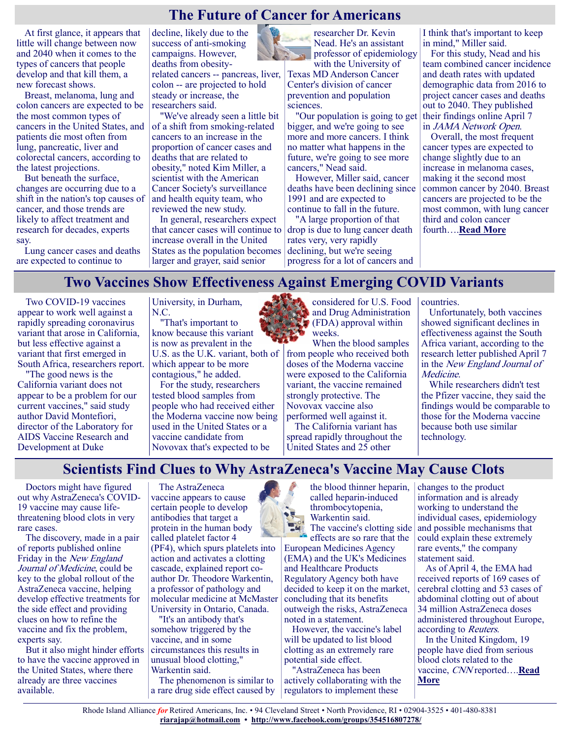#### **The Future of Cancer for Americans**

At first glance, it appears that little will change between now and 2040 when it comes to the types of cancers that people develop and that kill them, a new forecast shows.

Breast, melanoma, lung and colon cancers are expected to be the most common types of cancers in the United States, and patients die most often from lung, pancreatic, liver and colorectal cancers, according to the latest projections.

But beneath the surface, changes are occurring due to a shift in the nation's top causes of cancer, and those trends are likely to affect treatment and research for decades, experts say.

Lung cancer cases and deaths are expected to continue to

decline, likely due to the success of anti-smoking campaigns. However, deaths from obesityrelated cancers -- pancreas, liver, colon -- are projected to hold steady or increase, the researchers said.

"We've already seen a little bit of a shift from smoking-related cancers to an increase in the proportion of cancer cases and deaths that are related to obesity," noted Kim Miller, a scientist with the American Cancer Society's surveillance and health equity team, who reviewed the new study.

In general, researchers expect that cancer cases will continue to increase overall in the United States as the population becomes larger and grayer, said senior

researcher Dr. Kevin Nead. He's an assistant professor of epidemiology

with the University of Texas MD Anderson Cancer Center's division of cancer prevention and population sciences.

"Our population is going to get bigger, and we're going to see more and more cancers. I think no matter what happens in the future, we're going to see more cancers," Nead said.

However, Miller said, cancer deaths have been declining since 1991 and are expected to continue to fall in the future.

"A large proportion of that drop is due to lung cancer death rates very, very rapidly declining, but we're seeing progress for a lot of cancers and I think that's important to keep in mind," Miller said.

For this study, Nead and his team combined cancer incidence and death rates with updated demographic data from 2016 to project cancer cases and deaths out to 2040. They published their findings online April 7 in JAMA Network Open.

Overall, the most frequent cancer types are expected to change slightly due to an increase in melanoma cases, making it the second most common cancer by 2040. Breast cancers are projected to be the most common, with lung cancer third and colon cancer fourth….**[Read More](https://consumer.healthday.com/4-7-the-future-of-cancer-for-americans-2651371826.html)**

#### **Two Vaccines Show Effectiveness Against Emerging COVID Variants**

Two COVID-19 vaccines appear to work well against a rapidly spreading coronavirus variant that arose in California, but less effective against a variant that first emerged in South Africa, researchers report.

"The good news is the California variant does not appear to be a problem for our current vaccines," said study author David Montefiori, director of the Laboratory for AIDS Vaccine Research and Development at Duke

University, in Durham, N.C.

"That's important to know because this variant is now as prevalent in the U.S. as the U.K. variant, both of which appear to be more contagious," he added.

For the study, researchers tested blood samples from people who had received either the Moderna vaccine now being used in the United States or a vaccine candidate from Novovax that's expected to be

considered for U.S. Food **and Drug Administration** (FDA) approval within weeks.

When the blood samples from people who received both doses of the Moderna vaccine were exposed to the California variant, the vaccine remained strongly protective. The Novovax vaccine also performed well against it.

The California variant has spread rapidly throughout the United States and 25 other

countries.

Unfortunately, both vaccines showed significant declines in effectiveness against the South Africa variant, according to the research letter published April 7 in the New England Journal of Medicine.

While researchers didn't test the Pfizer vaccine, they said the findings would be comparable to those for the Moderna vaccine because both use similar technology.

#### **Scientists Find Clues to Why AstraZeneca's Vaccine May Cause Clots**

Doctors might have figured out why AstraZeneca's COVID-19 vaccine may cause lifethreatening blood clots in very rare cases.

The discovery, made in a pair of reports published online Friday in the New England Journal of Medicine, could be key to the global rollout of the AstraZeneca vaccine, helping develop effective treatments for the side effect and providing clues on how to refine the vaccine and fix the problem, experts say.

But it also might hinder efforts to have the vaccine approved in the United States, where there already are three vaccines available.

The AstraZeneca vaccine appears to cause certain people to develop antibodies that target a protein in the human body called platelet factor 4 (PF4), which spurs platelets into action and activates a clotting cascade, explained report coauthor Dr. Theodore Warkentin, a professor of pathology and molecular medicine at McMaster University in Ontario, Canada. "It's an antibody that's

somehow triggered by the vaccine, and in some circumstances this results in unusual blood clotting," Warkentin said.

The phenomenon is similar to a rare drug side effect caused by



the blood thinner heparin, called heparin-induced thrombocytopenia, Warkentin said. The vaccine's clotting side

effects are so rare that the

European Medicines Agency (EMA) and the UK's Medicines and Healthcare Products Regulatory Agency both have decided to keep it on the market, concluding that its benefits outweigh the risks, AstraZeneca noted in a statement.

However, the vaccine's label will be updated to list blood clotting as an extremely rare potential side effect.

"AstraZeneca has been actively collaborating with the regulators to implement these

changes to the product information and is already working to understand the individual cases, epidemiology and possible mechanisms that could explain these extremely rare events," the company statement said.

As of April 4, the EMA had received reports of 169 cases of cerebral clotting and 53 cases of abdominal clotting out of about 34 million AstraZeneca doses administered throughout Europe, according to Reuters.

In the United Kingdom, 19 people have died from serious blood clots related to the vaccine, CNN reported….**[Read](https://consumer.healthday.com/4-9-more-clues-to-rare-blood-clots-after-astrazeneca-vaccine-2651935660.html)  [More](https://consumer.healthday.com/4-9-more-clues-to-rare-blood-clots-after-astrazeneca-vaccine-2651935660.html)**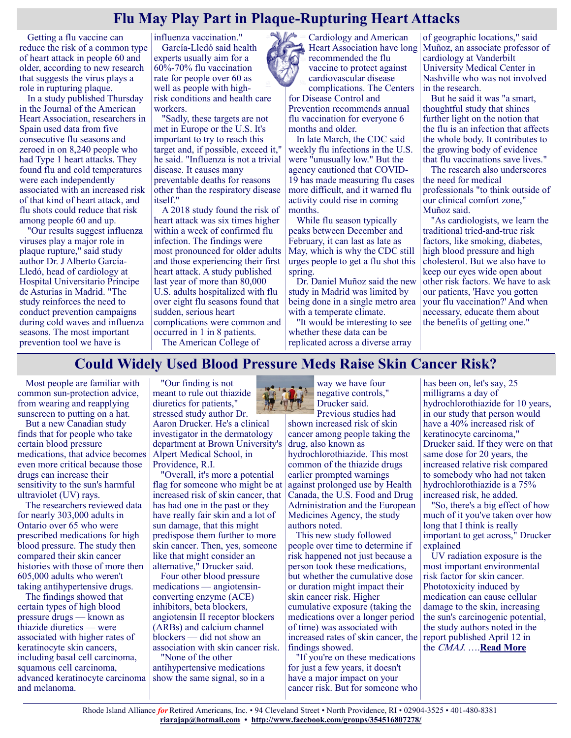#### **Flu May Play Part in Plaque-Rupturing Heart Attacks**

Getting a flu vaccine can reduce the risk of a common type of heart attack in people 60 and older, according to new research that suggests the virus plays a role in rupturing plaque.

In a study published Thursday in the Journal of the American Heart Association, researchers in Spain used data from five consecutive flu seasons and zeroed in on 8,240 people who had Type 1 heart attacks. They found flu and cold temperatures were each independently associated with an increased risk of that kind of heart attack, and flu shots could reduce that risk among people 60 and up.

"Our results suggest influenza viruses play a major role in plaque rupture," said study author Dr. J Alberto García-Lledó, head of cardiology at Hospital Universitario Príncipe de Asturias in Madrid. "The study reinforces the need to conduct prevention campaigns during cold waves and influenza seasons. The most important prevention tool we have is

influenza vaccination." García-Lledó said health experts usually aim for a 60%-70% flu vaccination rate for people over 60 as well as people with highrisk conditions and health care workers.

"Sadly, these targets are not met in Europe or the U.S. It's important to try to reach this target and, if possible, exceed it," he said. "Influenza is not a trivial disease. It causes many preventable deaths for reasons other than the respiratory disease itself."

A 2018 study found the risk of heart attack was six times higher within a week of confirmed flu infection. The findings were most pronounced for older adults and those experiencing their first heart attack. A study published last year of more than 80,000 U.S. adults hospitalized with flu over eight flu seasons found that sudden, serious heart complications were common and

occurred in 1 in 8 patients. The American College of Cardiology and American Heart Association have long recommended the flu vaccine to protect against cardiovascular disease complications. The Centers

for Disease Control and Prevention recommends annual flu vaccination for everyone 6 months and older.

In late March, the CDC said weekly flu infections in the U.S. were "unusually low." But the agency cautioned that COVID-19 has made measuring flu cases more difficult, and it warned flu activity could rise in coming months.

While flu season typically peaks between December and February, it can last as late as May, which is why the CDC still urges people to get a flu shot this spring.

Dr. Daniel Muñoz said the new study in Madrid was limited by being done in a single metro area with a temperate climate.

"It would be interesting to see whether these data can be replicated across a diverse array of geographic locations," said Muñoz, an associate professor of cardiology at Vanderbilt University Medical Center in Nashville who was not involved in the research.

But he said it was "a smart, thoughtful study that shines further light on the notion that the flu is an infection that affects the whole body. It contributes to the growing body of evidence that flu vaccinations save lives."

The research also underscores the need for medical professionals "to think outside of our clinical comfort zone," Muñoz said.

"As cardiologists, we learn the traditional tried-and-true risk factors, like smoking, diabetes, high blood pressure and high cholesterol. But we also have to keep our eyes wide open about other risk factors. We have to ask our patients, 'Have you gotten your flu vaccination?' And when necessary, educate them about the benefits of getting one."

#### **Could Widely Used Blood Pressure Meds Raise Skin Cancer Risk?**

Most people are familiar with common sun-protection advice, from wearing and reapplying sunscreen to putting on a hat.

But a new Canadian study finds that for people who take certain blood pressure medications, that advice becomes even more critical because those drugs can increase their sensitivity to the sun's harmful ultraviolet (UV) rays.

The researchers reviewed data for nearly 303,000 adults in Ontario over 65 who were prescribed medications for high blood pressure. The study then compared their skin cancer histories with those of more then 605,000 adults who weren't taking antihypertensive drugs.

The findings showed that certain types of high blood pressure drugs — known as thiazide diuretics — were associated with higher rates of keratinocyte skin cancers, including basal cell carcinoma, squamous cell carcinoma, advanced keratinocyte carcinoma and melanoma.

"Our finding is not meant to rule out thiazide diuretics for patients," stressed study author Dr. Aaron Drucker. He's a clinical investigator in the dermatology department at Brown University's Alpert Medical School, in Providence, R.I.

"Overall, it's more a potential flag for someone who might be at increased risk of skin cancer, that has had one in the past or they have really fair skin and a lot of sun damage, that this might predispose them further to more skin cancer. Then, yes, someone like that might consider an alternative," Drucker said.

Four other blood pressure medications — angiotensinconverting enzyme (ACE) inhibitors, beta blockers, angiotensin II receptor blockers (ARBs) and calcium channel blockers — did not show an association with skin cancer risk.

"None of the other antihypertensive medications show the same signal, so in a



way we have four negative controls," Drucker said.

Previous studies had shown increased risk of skin cancer among people taking the drug, also known as hydrochlorothiazide. This most common of the thiazide drugs earlier prompted warnings against prolonged use by Health Canada, the U.S. Food and Drug Administration and the European Medicines Agency, the study authors noted.

This new study followed people over time to determine if risk happened not just because a person took these medications, but whether the cumulative dose or duration might impact their skin cancer risk. Higher cumulative exposure (taking the medications over a longer period of time) was associated with increased rates of skin cancer, the findings showed.

"If you're on these medications for just a few years, it doesn't have a major impact on your cancer risk. But for someone who

has been on, let's say, 25 milligrams a day of hydrochlorothiazide for 10 years, in our study that person would have a 40% increased risk of keratinocyte carcinoma," Drucker said. If they were on that same dose for 20 years, the increased relative risk compared to somebody who had not taken hydrochlorothiazide is a 75% increased risk, he added.

"So, there's a big effect of how much of it you've taken over how long that I think is really important to get across," Drucker explained

UV radiation exposure is the most important environmental risk factor for skin cancer. Phototoxicity induced by medication can cause cellular damage to the skin, increasing the sun's carcinogenic potential, the study authors noted in the report published April 12 in the CMAJ. ….**[Read More](https://consumer.healthday.com/4-12-could-widely-used-blood-pressure-meds-raise-skin-cancer-risk-2651377495.html)**